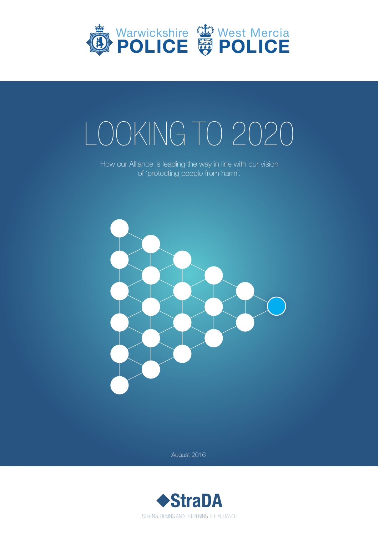

# LOOKING TO 2020

How our Alliance is leading the way in line with our vision of 'protecting people from harm'.



August 2016

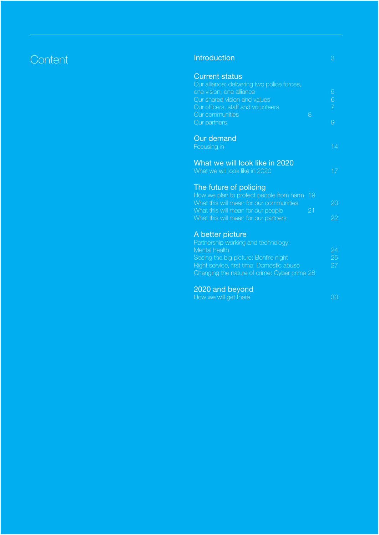#### Content 3 and 2009 and 2009 and 2009 and 2009 and 2009 and 2009 and 2009 and 2009 and 2009 and 2009 and 2009 a

| <b>Current status</b><br>Our alliance: delivering two police forces,<br>one vision, one alliance<br>Our shared vision and values<br>Our officers, staff and volunteers<br>Our communities<br>Our partners<br><b>Our demand</b>      | 8  | 5<br>6<br>$\overline{7}$<br>9 |
|-------------------------------------------------------------------------------------------------------------------------------------------------------------------------------------------------------------------------------------|----|-------------------------------|
| Focusing in                                                                                                                                                                                                                         |    | 14                            |
| What we will look like in 2020<br>What we will look like in 2020                                                                                                                                                                    |    | 17                            |
| The future of policing<br>How we plan to protect people from harm                                                                                                                                                                   | 19 |                               |
| What this will mean for our communities                                                                                                                                                                                             |    | 20                            |
| What this will mean for our people<br>What this will mean for our partners                                                                                                                                                          | 21 | 22                            |
| A better picture<br>Partnership working and technology:<br>Mental health<br>Seeing the big picture: Bonfire night<br>Right service, first time: Domestic abuse<br>Changing the nature of crime: Cyber crime 28<br><b>CONTRACTOR</b> |    | 24<br>25<br>27                |

#### 2020 and beyond

How we will get there **30** and 30 and 30 and 30 and 30 and 30 and 30 and 30 and 30 and 30 and 30 and 30 and 30 and 30 and 30 and 30 and 30 and 30 and 30 and 30 and 30 and 30 and 30 and 30 and 30 and 30 and 30 and 30 and 30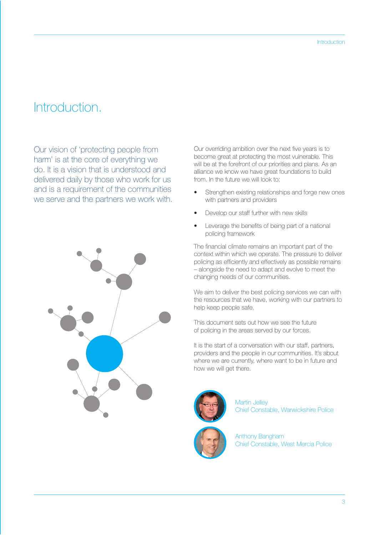#### Introduction.

Our vision of 'protecting people from harm' is at the core of everything we do. It is a vision that is understood and delivered daily by those who work for us and is a requirement of the communities we serve and the partners we work with.



Our overriding ambition over the next five years is to become great at protecting the most vulnerable. This will be at the forefront of our priorities and plans. As an alliance we know we have great foundations to build from. In the future we will look to:

- Strengthen existing relationships and forge new ones with partners and providers
- Develop our staff further with new skills
- Leverage the benefits of being part of a national policing framework

The financial climate remains an important part of the context within which we operate. The pressure to deliver policing as efficiently and effectively as possible remains – alongside the need to adapt and evolve to meet the changing needs of our communities.

We aim to deliver the best policing services we can with the resources that we have, working with our partners to help keep people safe.

This document sets out how we see the future of policing in the areas served by our forces.

It is the start of a conversation with our staff, partners, providers and the people in our communities. It's about where we are currently, where want to be in future and how we will get there.



Martin Jelley Chief Constable, Warwickshire Police



Anthony Bangham Chief Constable, West Mercia Police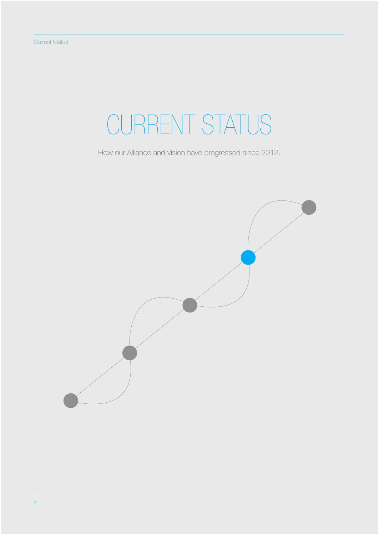# CURRENT STATUS

How our Alliance and vision have progressed since 2012.

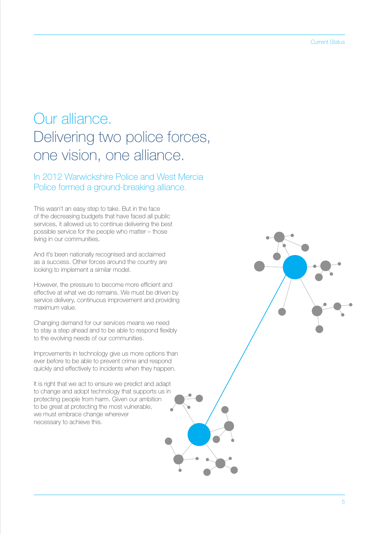#### Our alliance. Delivering two police forces, one vision, one alliance.

In 2012 Warwickshire Police and West Mercia Police formed a ground-breaking alliance.

This wasn't an easy step to take. But in the face of the decreasing budgets that have faced all public services, it allowed us to continue delivering the best possible service for the people who matter – those living in our communities.

And it's been nationally recognised and acclaimed as a success. Other forces around the country are looking to implement a similar model.

However, the pressure to become more efficient and effective at what we do remains. We must be driven by service delivery, continuous improvement and providing maximum value.

Changing demand for our services means we need to stay a step ahead and to be able to respond flexibly to the evolving needs of our communities.

Improvements in technology give us more options than ever before to be able to prevent crime and respond quickly and effectively to incidents when they happen.

It is right that we act to ensure we predict and adapt to change and adopt technology that supports us in protecting people from harm. Given our ambition to be great at protecting the most vulnerable, we must embrace change wherever necessary to achieve this.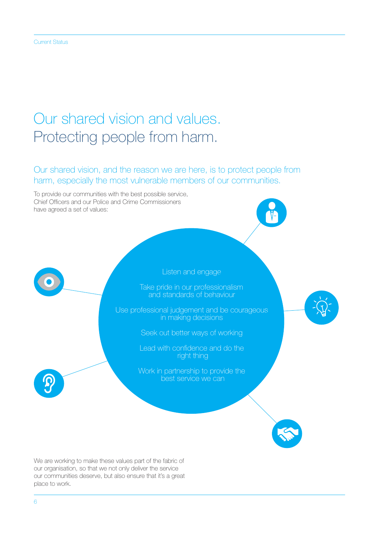## Our shared vision and values. Protecting people from harm.

Our shared vision, and the reason we are here, is to protect people from harm, especially the most vulnerable members of our communities.

To provide our communities with the best possible service, Chief Officers and our Police and Crime Commissioners have agreed a set of values:



Take pride in our professionalism and standards of behaviour

Use professional judgement and be courageous in making decisions

Seek out better ways of working

Lead with confidence and do the right thing

Work in partnership to provide the best service we can

We are working to make these values part of the fabric of our organisation, so that we not only deliver the service our communities deserve, but also ensure that it's a great place to work.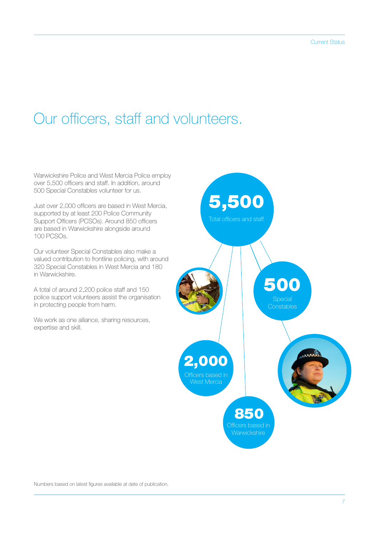#### Our officers, staff and volunteers.

Warwickshire Police and West Mercia Police employ over 5,500 officers and staff. In addition, around 500 Special Constables volunteer for us.

Just over 2,000 officers are based in West Mercia, supported by at least 200 Police Community Support Officers (PCSOs). Around 850 officers are based in Warwickshire alongside around 100 PCSOs.

Our volunteer Special Constables also make a valued contribution to frontline policing, with around 320 Special Constables in West Mercia and 180 in Warwickshire.

A total of around 2,200 police staff and 150 police support volunteers assist the organisation in protecting people from harm.

We work as one alliance, sharing resources, expertise and skill.



Numbers based on latest figures available at date of publication.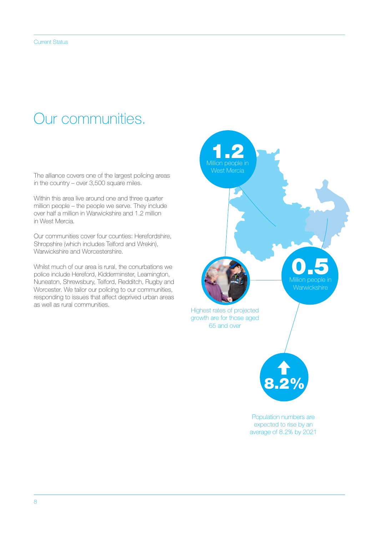#### Our communities.

The alliance covers one of the largest policing areas in the country – over 3,500 square miles.

Within this area live around one and three quarter million people – the people we serve. They include over half a million in Warwickshire and 1.2 million in West Mercia.

Our communities cover four counties: Herefordshire, Shropshire (which includes Telford and Wrekin), Warwickshire and Worcestershire.

Whilst much of our area is rural, the conurbations we police include Hereford, Kidderminster, Leamington, Nuneaton, Shrewsbury, Telford, Redditch, Rugby and Worcester. We tailor our policing to our communities, responding to issues that affect deprived urban areas as well as rural communities.

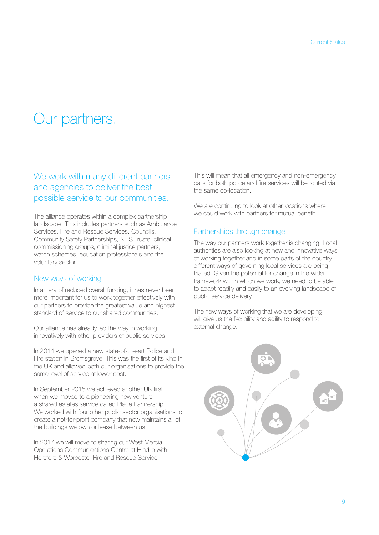#### Our partners.

#### We work with many different partners and agencies to deliver the best possible service to our communities.

The alliance operates within a complex partnership landscape. This includes partners such as Ambulance Services, Fire and Rescue Services, Councils, Community Safety Partnerships, NHS Trusts, clinical commissioning groups, criminal justice partners, watch schemes, education professionals and the voluntary sector.

#### New ways of working

In an era of reduced overall funding, it has never been more important for us to work together effectively with our partners to provide the greatest value and highest standard of service to our shared communities.

Our alliance has already led the way in working innovatively with other providers of public services.

In 2014 we opened a new state-of-the-art Police and Fire station in Bromsgrove. This was the first of its kind in the UK and allowed both our organisations to provide the same level of service at lower cost.

In September 2015 we achieved another UK first when we moved to a pioneering new venture – a shared estates service called Place Partnership. We worked with four other public sector organisations to create a not-for-profit company that now maintains all of the buildings we own or lease between us.

In 2017 we will move to sharing our West Mercia Operations Communications Centre at Hindlip with Hereford & Worcester Fire and Rescue Service.

This will mean that all emergency and non-emergency calls for both police and fire services will be routed via the same co-location.

We are continuing to look at other locations where we could work with partners for mutual benefit.

#### Partnerships through change

The way our partners work together is changing. Local authorities are also looking at new and innovative ways of working together and in some parts of the country different ways of governing local services are being trialled. Given the potential for change in the wider framework within which we work, we need to be able to adapt readily and easily to an evolving landscape of public service delivery.

The new ways of working that we are developing will give us the flexibility and agility to respond to external change.

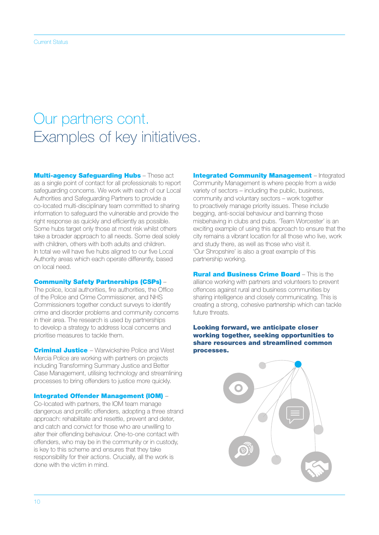#### Our partners cont. Examples of key initiatives.

**Multi-agency Safeguarding Hubs - These act** as a single point of contact for all professionals to report safeguarding concerns. We work with each of our Local Authorities and Safeguarding Partners to provide a co-located multi-disciplinary team committed to sharing information to safeguard the vulnerable and provide the right response as quickly and efficiently as possible. Some hubs target only those at most risk whilst others take a broader approach to all needs. Some deal solely with children, others with both adults and children. In total we will have five hubs aligned to our five Local Authority areas which each operate differently, based on local need.

#### Community Safety Partnerships (CSPs) –

The police, local authorities, fire authorities, the Office of the Police and Crime Commissioner, and NHS Commissioners together conduct surveys to identify crime and disorder problems and community concerns in their area. The research is used by partnerships to develop a strategy to address local concerns and prioritise measures to tackle them.

**Criminal Justice** - Warwickshire Police and West Mercia Police are working with partners on projects including Transforming Summary Justice and Better Case Management, utilising technology and streamlining processes to bring offenders to justice more quickly.

#### Integrated Offender Management (IOM) –

Co-located with partners, the IOM team manage dangerous and prolific offenders, adopting a three strand approach: rehabilitate and resettle, prevent and deter, and catch and convict for those who are unwilling to alter their offending behaviour. One-to-one contact with offenders, who may be in the community or in custody, is key to this scheme and ensures that they take responsibility for their actions. Crucially, all the work is done with the victim in mind.

**Integrated Community Management** – Integrated Community Management is where people from a wide variety of sectors – including the public, business, community and voluntary sectors – work together to proactively manage priority issues. These include begging, anti-social behaviour and banning those misbehaving in clubs and pubs. 'Team Worcester' is an exciting example of using this approach to ensure that the city remains a vibrant location for all those who live, work and study there, as well as those who visit it. 'Our Shropshire' is also a great example of this partnership working.

**Rural and Business Crime Board - This is the** alliance working with partners and volunteers to prevent offences against rural and business communities by sharing intelligence and closely communicating. This is creating a strong, cohesive partnership which can tackle future threats.

#### Looking forward, we anticipate closer working together, seeking opportunities to share resources and streamlined common processes.

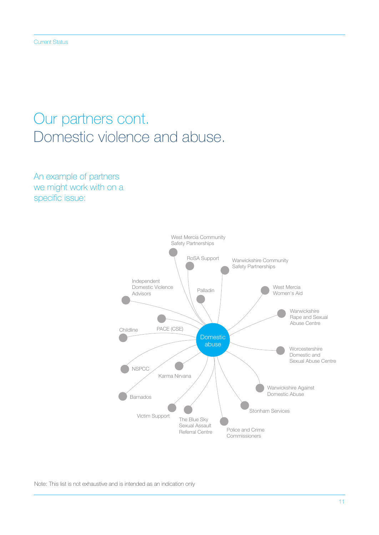### Our partners cont. Domestic violence and abuse.

An example of partners we might work with on a specific issue:



Note: This list is not exhaustive and is intended as an indication only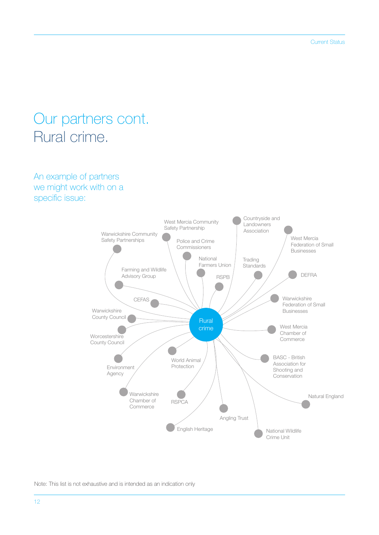#### Our partners cont. Rural crime.

An example of partners we might work with on a specific issue:



Note: This list is not exhaustive and is intended as an indication only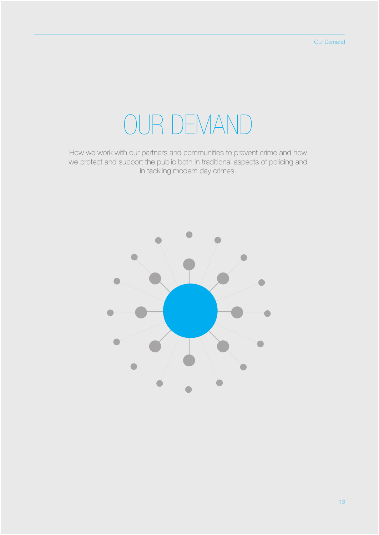## OUR DEMAND

How we work with our partners and communities to prevent crime and how we protect and support the public both in traditional aspects of policing and in tackling modern day crimes.

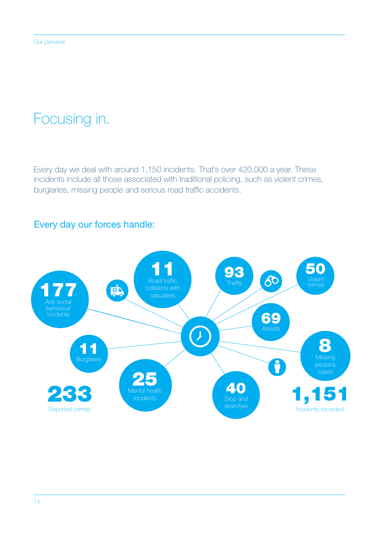## Focusing in.

Every day we deal with around 1,150 incidents. That's over 420,000 a year. These incidents include all those associated with traditional policing, such as violent crimes, burglaries, missing people and serious road traffic accidents.

#### Every day our forces handle:

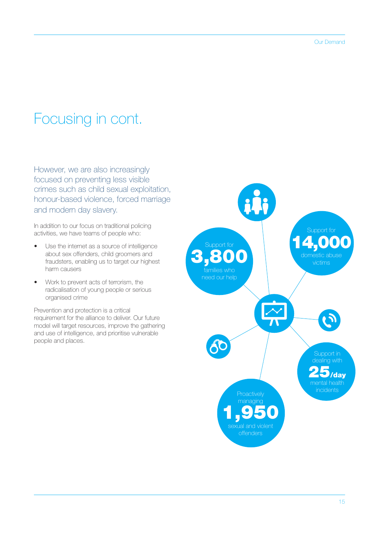## Focusing in cont.

However, we are also increasingly focused on preventing less visible crimes such as child sexual exploitation, honour-based violence, forced marriage and modern day slavery.

In addition to our focus on traditional policing activities, we have teams of people who:

- Use the internet as a source of intelligence about sex offenders, child groomers and fraudsters, enabling us to target our highest harm causers
- Work to prevent acts of terrorism, the radicalisation of young people or serious organised crime

Prevention and protection is a critical requirement for the alliance to deliver. Our future model will target resources, improve the gathering and use of intelligence, and prioritise vulnerable people and places.

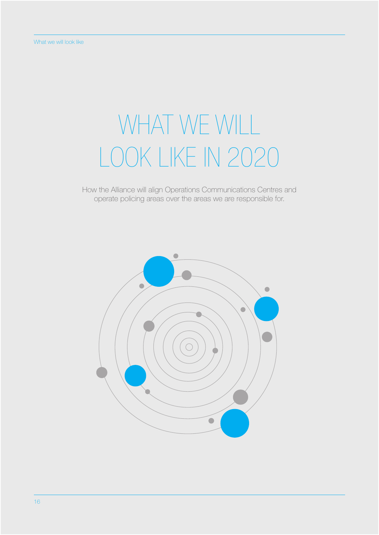# WHAT WE WILL LOOK LIKE IN 2020

How the Alliance will align Operations Communications Centres and operate policing areas over the areas we are responsible for.

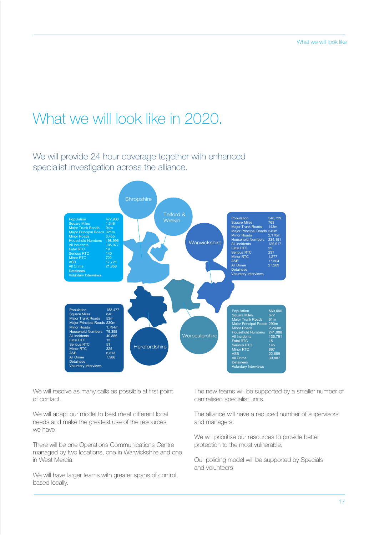### What we will look like in 2020.

We will provide 24 hour coverage together with enhanced specialist investigation across the alliance.



We will resolve as many calls as possible at first point of contact.

We will adapt our model to best meet different local needs and make the greatest use of the resources we have.

There will be one Operations Communications Centre managed by two locations, one in Warwickshire and one in West Mercia.

We will have larger teams with greater spans of control, based locally.

The new teams will be supported by a smaller number of centralised specialist units.

The alliance will have a reduced number of supervisors and managers.

We will prioritise our resources to provide better protection to the most vulnerable.

Our policing model will be supported by Specials and volunteers.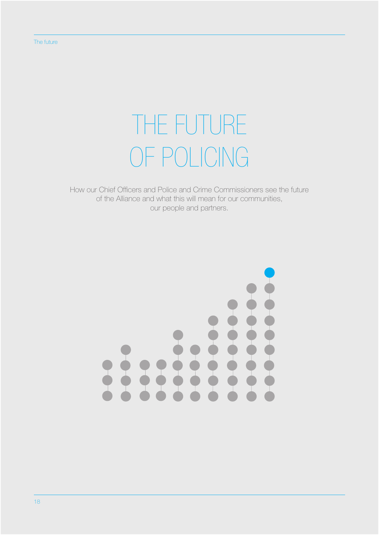# THE FUTURE OF POLICING

How our Chief Officers and Police and Crime Commissioners see the future of the Alliance and what this will mean for our communities, our people and partners.

#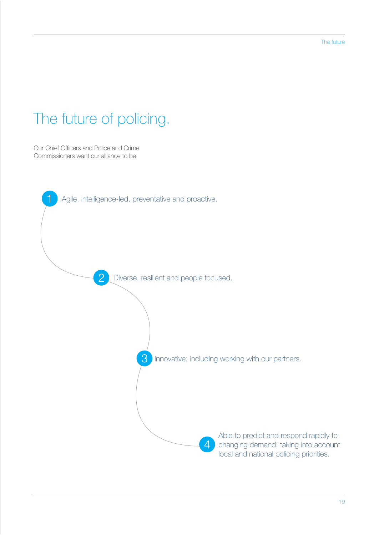## The future of policing.

Our Chief Officers and Police and Crime Commissioners want our alliance to be:

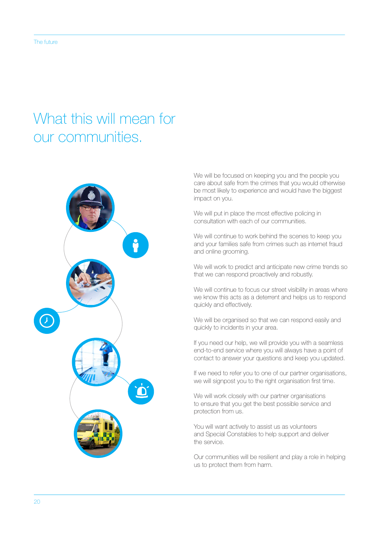#### What this will mean for our communities.



We will be focused on keeping you and the people you care about safe from the crimes that you would otherwise be most likely to experience and would have the biggest impact on you.

We will put in place the most effective policing in consultation with each of our communities.

We will continue to work behind the scenes to keep you and your families safe from crimes such as internet fraud and online grooming.

We will work to predict and anticipate new crime trends so that we can respond proactively and robustly.

We will continue to focus our street visibility in areas where we know this acts as a deterrent and helps us to respond quickly and effectively.

We will be organised so that we can respond easily and quickly to incidents in your area.

If you need our help, we will provide you with a seamless end-to-end service where you will always have a point of contact to answer your questions and keep you updated.

If we need to refer you to one of our partner organisations, we will signpost you to the right organisation first time.

We will work closely with our partner organisations to ensure that you get the best possible service and protection from us.

You will want actively to assist us as volunteers and Special Constables to help support and deliver the service.

Our communities will be resilient and play a role in helping us to protect them from harm.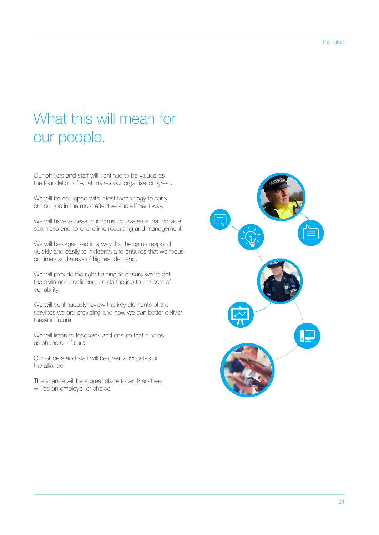## What this will mean for our people.

Our officers and staff will continue to be valued as the foundation of what makes our organisation great.

We will be equipped with latest technology to carry out our job in the most effective and efficient way.

We will have access to information systems that provide seamless end-to-end crime recording and management.

We will be organised in a way that helps us respond quickly and easily to incidents and ensures that we focus on times and areas of highest demand.

We will provide the right training to ensure we've got the skills and confidence to do the job to the best of our ability.

We will continuously review the key elements of the services we are providing and how we can better deliver these in future.

We will listen to feedback and ensure that it helps us shape our future.

Our officers and staff will be great advocates of the alliance.

The alliance will be a great place to work and we will be an employer of choice.

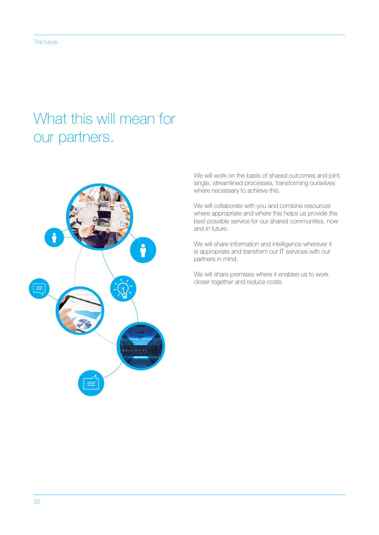### What this will mean for our partners.



We will work on the basis of shared outcomes and joint, single, streamlined processes, transforming ourselves where necessary to achieve this.

We will collaborate with you and combine resources where appropriate and where this helps us provide the best possible service for our shared communities, now and in future.

We will share information and intelligence wherever it is appropriate and transform our IT services with our partners in mind.

We will share premises where it enables us to work closer together and reduce costs.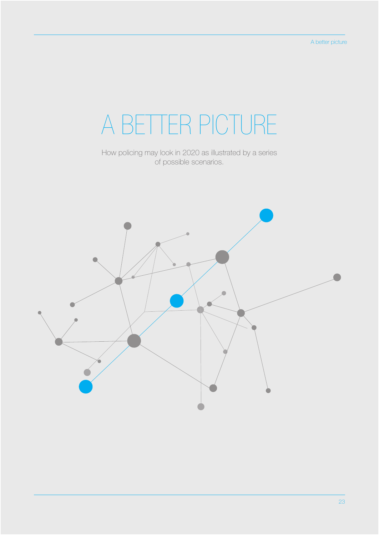# A BETTER PICTURE

How policing may look in 2020 as illustrated by a series of possible scenarios.

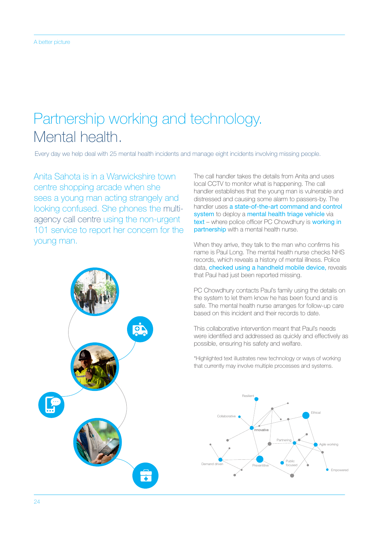## Partnership working and technology. Mental health.

Every day we help deal with 25 mental health incidents and manage eight incidents involving missing people.

Anita Sahota is in a Warwickshire town centre shopping arcade when she sees a young man acting strangely and looking confused. She phones the multiagency call centre using the non-urgent 101 service to report her concern for the young man.



The call handler takes the details from Anita and uses local CCTV to monitor what is happening. The call handler establishes that the young man is vulnerable and distressed and causing some alarm to passers-by. The handler uses a state-of-the-art command and control system to deploy a mental health triage vehicle via text – where police officer PC Chowdhury is working in partnership with a mental health nurse.

When they arrive, they talk to the man who confirms his name is Paul Long. The mental health nurse checks NHS records, which reveals a history of mental illness. Police data, **checked using a handheld mobile device**, reveals that Paul had just been reported missing.

PC Chowdhury contacts Paul's family using the details on the system to let them know he has been found and is safe. The mental health nurse arranges for follow-up care based on this incident and their records to date.

This collaborative intervention meant that Paul's needs were identified and addressed as quickly and effectively as possible, ensuring his safety and welfare.

\*Highlighted text illustrates new technology or ways of working that currently may involve multiple processes and systems.

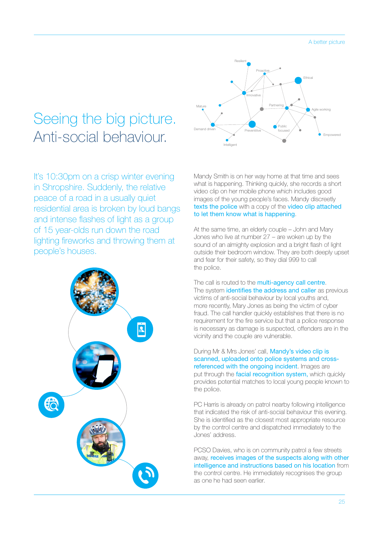#### Seeing the big picture. Anti-social behaviour.

It's 10:30pm on a crisp winter evening in Shropshire. Suddenly, the relative peace of a road in a usually quiet residential area is broken by loud bangs and intense flashes of light as a group of 15 year-olds run down the road lighting fireworks and throwing them at people's houses.





Mandy Smith is on her way home at that time and sees what is happening. Thinking quickly, she records a short video clip on her mobile phone which includes good images of the young people's faces. Mandy discreetly texts the police with a copy of the video clip attached to let them know what is happening.

At the same time, an elderly couple – John and Mary Jones who live at number 27 – are woken up by the sound of an almighty explosion and a bright flash of light outside their bedroom window. They are both deeply upset and fear for their safety, so they dial 999 to call the police.

The call is routed to the multi-agency call centre. The system *identifies the address and caller* as previous victims of anti-social behaviour by local youths and, more recently, Mary Jones as being the victim of cyber fraud. The call handler quickly establishes that there is no requirement for the fire service but that a police response is necessary as damage is suspected, offenders are in the vicinity and the couple are vulnerable.

During Mr & Mrs Jones' call, Mandy's video clip is scanned, uploaded onto police systems and crossreferenced with the ongoing incident. Images are put through the facial recognition system, which quickly provides potential matches to local young people known to the police.

PC Harris is already on patrol nearby following intelligence that indicated the risk of anti-social behaviour this evening. She is identified as the closest most appropriate resource by the control centre and dispatched immediately to the Jones' address.

PCSO Davies, who is on community patrol a few streets away, receives images of the suspects along with other intelligence and instructions based on his location from the control centre. He immediately recognises the group as one he had seen earlier.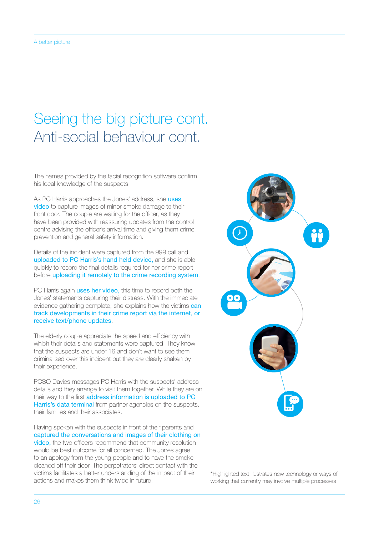## Seeing the big picture cont. Anti-social behaviour cont.

The names provided by the facial recognition software confirm his local knowledge of the suspects.

As PC Harris approaches the Jones' address, she uses video to capture images of minor smoke damage to their front door. The couple are waiting for the officer, as they have been provided with reassuring updates from the control centre advising the officer's arrival time and giving them crime prevention and general safety information.

Details of the incident were captured from the 999 call and uploaded to PC Harris's hand held device, and she is able quickly to record the final details required for her crime report before uploading it remotely to the crime recording system.

PC Harris again uses her video, this time to record both the Jones' statements capturing their distress. With the immediate evidence gathering complete, she explains how the victims can track developments in their crime report via the internet, or receive text/phone updates.

The elderly couple appreciate the speed and efficiency with which their details and statements were captured. They know that the suspects are under 16 and don't want to see them criminalised over this incident but they are clearly shaken by their experience.

PCSO Davies messages PC Harris with the suspects' address details and they arrange to visit them together. While they are on their way to the first address information is uploaded to PC Harris's data terminal from partner agencies on the suspects, their families and their associates.

Having spoken with the suspects in front of their parents and captured the conversations and images of their clothing on video, the two officers recommend that community resolution would be best outcome for all concerned. The Jones agree to an apology from the young people and to have the smoke cleaned off their door. The perpetrators' direct contact with the victims facilitates a better understanding of the impact of their actions and makes them think twice in future.



\*Highlighted text illustrates new technology or ways of working that currently may involve multiple processes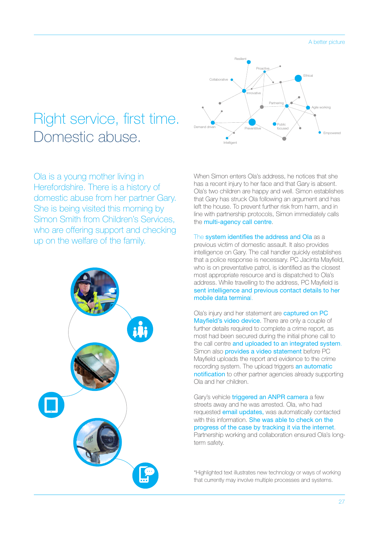#### Right service, first time. Domestic abuse.

Ola is a young mother living in Herefordshire. There is a history of domestic abuse from her partner Gary. She is being visited this morning by Simon Smith from Children's Services, who are offering support and checking up on the welfare of the family.





When Simon enters Ola's address, he notices that she has a recent injury to her face and that Gary is absent. Ola's two children are happy and well. Simon establishes that Gary has struck Ola following an argument and has left the house. To prevent further risk from harm, and in line with partnership protocols, Simon immediately calls the multi-agency call centre.

The system identifies the address and Ola as a previous victim of domestic assault. It also provides intelligence on Gary. The call handler quickly establishes that a police response is necessary. PC Jacinta Mayfield, who is on preventative patrol, is identified as the closest most appropriate resource and is dispatched to Ola's address. While travelling to the address, PC Mayfield is sent intelligence and previous contact details to her mobile data terminal.

Ola's injury and her statement are captured on PC Mayfield's video device. There are only a couple of further details required to complete a crime report, as most had been secured during the initial phone call to the call centre and uploaded to an integrated system. Simon also **provides a video statement** before PC Mayfield uploads the report and evidence to the crime recording system. The upload triggers an automatic notification to other partner agencies already supporting Ola and her children.

Gary's vehicle *triggered an ANPR camera a few* streets away and he was arrested. Ola, who had requested email updates, was automatically contacted with this information. She was able to check on the progress of the case by tracking it via the internet. Partnership working and collaboration ensured Ola's longterm safety.

\*Highlighted text illustrates new technology or ways of working that currently may involve multiple processes and systems.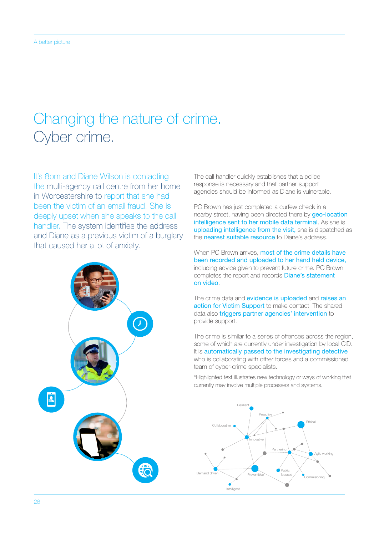## Changing the nature of crime. Cyber crime.

It's 8pm and Diane Wilson is contacting the multi-agency call centre from her home in Worcestershire to report that she had been the victim of an email fraud. She is deeply upset when she speaks to the call handler. The system identifies the address and Diane as a previous victim of a burglary that caused her a lot of anxiety.



The call handler quickly establishes that a police response is necessary and that partner support agencies should be informed as Diane is vulnerable.

PC Brown has just completed a curfew check in a nearby street, having been directed there by **geo-location** intelligence sent to her mobile data terminal. As she is uploading intelligence from the visit, she is dispatched as the **nearest suitable resource** to Diane's address.

When PC Brown arrives, most of the crime details have been recorded and uploaded to her hand held device, including advice given to prevent future crime. PC Brown completes the report and records Diane's statement on video.

The crime data and evidence is uploaded and raises an action for Victim Support to make contact. The shared data also triggers partner agencies' intervention to provide support.

The crime is similar to a series of offences across the region, some of which are currently under investigation by local CID. It is automatically passed to the investigating detective who is collaborating with other forces and a commissioned team of cyber-crime specialists.

\*Highlighted text illustrates new technology or ways of working that currently may involve multiple processes and systems.

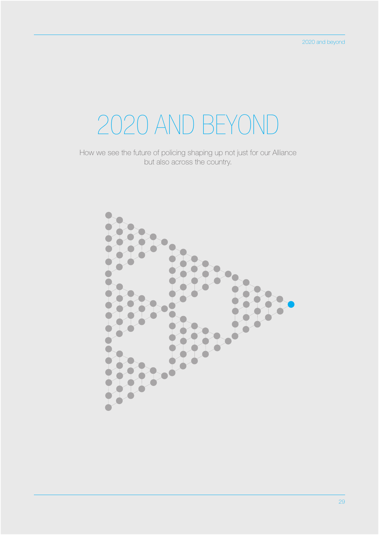# 2020 AND BEYOND

How we see the future of policing shaping up not just for our Alliance but also across the country.

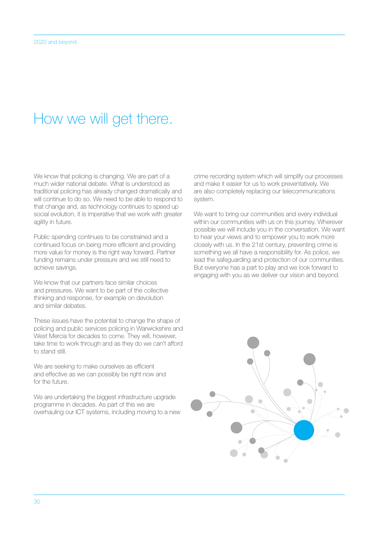#### How we will get there.

We know that policing is changing. We are part of a much wider national debate. What is understood as traditional policing has already changed dramatically and will continue to do so. We need to be able to respond to that change and, as technology continues to speed up social evolution, it is imperative that we work with greater agility in future.

Public spending continues to be constrained and a continued focus on being more efficient and providing more value for money is the right way forward. Partner funding remains under pressure and we still need to achieve savings.

We know that our partners face similar choices and pressures. We want to be part of the collective thinking and response, for example on devolution and similar debates.

These issues have the potential to change the shape of policing and public services policing in Warwickshire and West Mercia for decades to come. They will, however, take time to work through and as they do we can't afford to stand still.

We are seeking to make ourselves as efficient and effective as we can possibly be right now and for the future.

We are undertaking the biggest infrastructure upgrade programme in decades. As part of this we are overhauling our ICT systems, including moving to a new crime recording system which will simplify our processes and make it easier for us to work preventatively. We are also completely replacing our telecommunications system.

We want to bring our communities and every individual within our communities with us on this journey. Wherever possible we will include you in the conversation. We want to hear your views and to empower you to work more closely with us. In the 21st century, preventing crime is something we all have a responsibility for. As police, we lead the safeguarding and protection of our communities. But everyone has a part to play and we look forward to engaging with you as we deliver our vision and beyond.